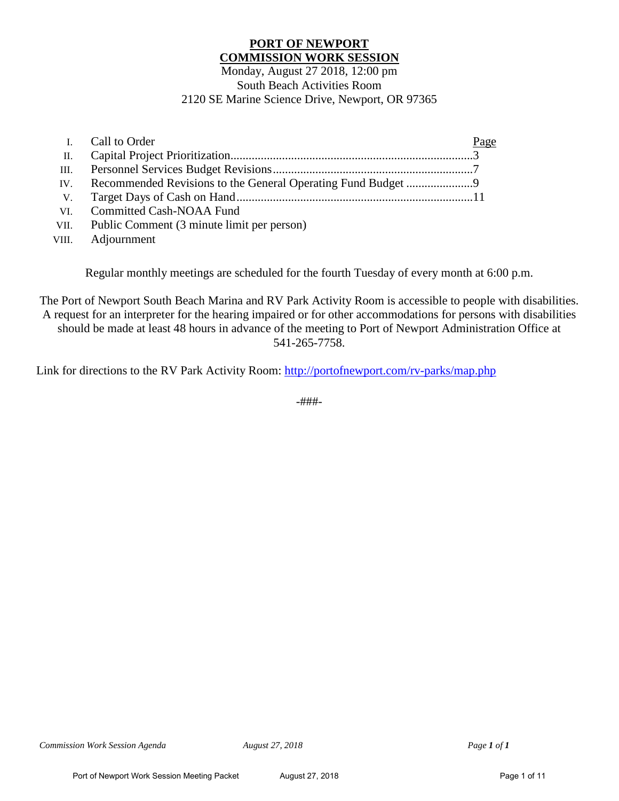# **PORT OF NEWPORT COMMISSION WORK SESSION**

#### Monday, August 27 2018, 12:00 pm South Beach Activities Room 2120 SE Marine Science Drive, Newport, OR 97365

|                 | I. Call to Order                                | Page |
|-----------------|-------------------------------------------------|------|
| $\mathbf{II}$ . |                                                 |      |
|                 |                                                 |      |
| IV.             |                                                 |      |
|                 |                                                 |      |
| VI.             | <b>Committed Cash-NOAA Fund</b>                 |      |
|                 | VII. Public Comment (3 minute limit per person) |      |

VIII. Adjournment

Regular monthly meetings are scheduled for the fourth Tuesday of every month at 6:00 p.m.

The Port of Newport South Beach Marina and RV Park Activity Room is accessible to people with disabilities. A request for an interpreter for the hearing impaired or for other accommodations for persons with disabilities should be made at least 48 hours in advance of the meeting to Port of Newport Administration Office at 541-265-7758.

Link for directions to the RV Park Activity Room:<http://portofnewport.com/rv-parks/map.php>

-###-

*Commission Work Session Agenda August 27, 2018 Page 1 of 1*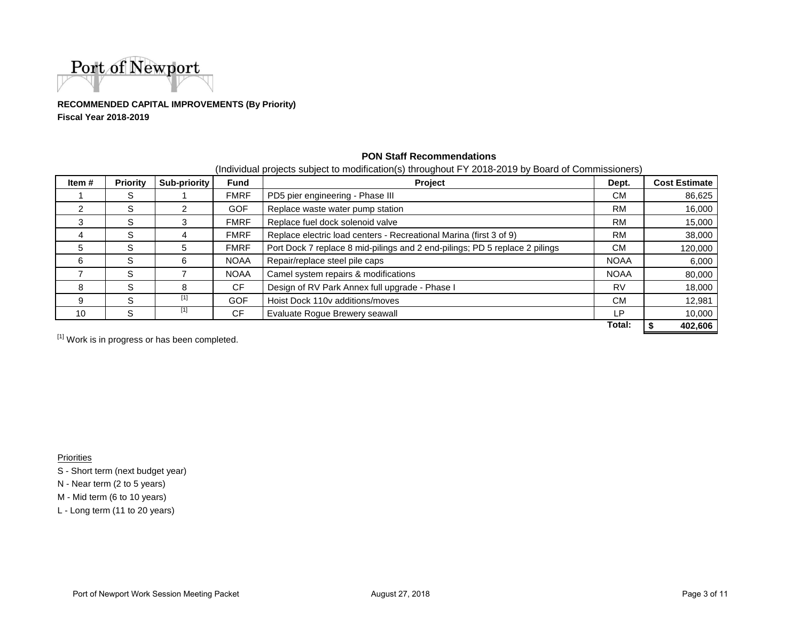

**RECOMMENDED CAPITAL IMPROVEMENTS (By Priority)Fiscal Year 2018-2019**

| Item#         | <b>Priority</b> | Sub-priority | <b>Fund</b> | Project                                                                     | Dept.       | <b>Cost Estimate</b> |
|---------------|-----------------|--------------|-------------|-----------------------------------------------------------------------------|-------------|----------------------|
|               | S               |              | <b>FMRF</b> | PD5 pier engineering - Phase III                                            | CM.         | 86,625               |
| $\mathcal{P}$ | S               |              | GOF         | Replace waste water pump station                                            | <b>RM</b>   | 16,000               |
| 3             | S               |              | <b>FMRF</b> | Replace fuel dock solenoid valve                                            | <b>RM</b>   | 15,000               |
|               | S               |              | <b>FMRF</b> | Replace electric load centers - Recreational Marina (first 3 of 9)          | <b>RM</b>   | 38,000               |
| 5             | S               | 5            | <b>FMRF</b> | Port Dock 7 replace 8 mid-pilings and 2 end-pilings; PD 5 replace 2 pilings |             | 120,000              |
| 6             | S               | 6            | <b>NOAA</b> | Repair/replace steel pile caps                                              | <b>NOAA</b> | 6,000                |
|               | S               |              | <b>NOAA</b> | Camel system repairs & modifications                                        | <b>NOAA</b> | 80,000               |
| 8             | S.              | 8            | <b>CF</b>   | Design of RV Park Annex full upgrade - Phase I                              | RV          | 18,000               |
| 9             | S               | $[1]$        | GOF         | Hoist Dock 110v additions/moves                                             | <b>CM</b>   | 12,981               |
| 10            | S               | $[1]$        | <b>CF</b>   | Evaluate Rogue Brewery seawall                                              | LР          | 10,000               |
|               |                 |              |             |                                                                             | Total:      | 402,606              |

#### **PON Staff Recommendations**

(Individual projects subject to modification(s) throughout FY 2018-2019 by Board of Commissioners)

 $^{[1]}$  Work is in progress or has been completed.

Priorities

S - Short term (next budget year)

N - Near term (2 to 5 years)

M - Mid term (6 to 10 years)

L - Long term (11 to 20 years)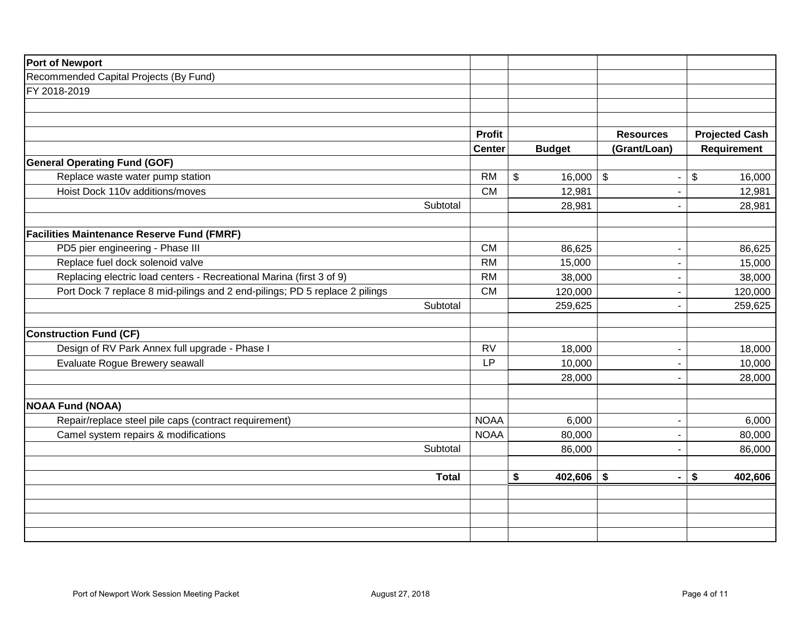| <b>Port of Newport</b>                                                      |                        |               |                                                     |                       |
|-----------------------------------------------------------------------------|------------------------|---------------|-----------------------------------------------------|-----------------------|
| Recommended Capital Projects (By Fund)                                      |                        |               |                                                     |                       |
| FY 2018-2019                                                                |                        |               |                                                     |                       |
|                                                                             |                        |               |                                                     |                       |
|                                                                             |                        |               |                                                     |                       |
|                                                                             | <b>Profit</b>          |               | <b>Resources</b>                                    | <b>Projected Cash</b> |
|                                                                             | <b>Center</b>          | <b>Budget</b> | (Grant/Loan)                                        | Requirement           |
| <b>General Operating Fund (GOF)</b>                                         |                        |               |                                                     |                       |
| Replace waste water pump station                                            | <b>RM</b>              | \$<br>16,000  | $\sqrt[6]{\frac{1}{2}}$<br>$\overline{\phantom{a}}$ | \$<br>16,000          |
| Hoist Dock 110v additions/moves                                             | <b>CM</b>              | 12,981        |                                                     | 12,981                |
| Subtotal                                                                    |                        | 28,981        |                                                     | 28,981                |
| <b>Facilities Maintenance Reserve Fund (FMRF)</b>                           |                        |               |                                                     |                       |
| PD5 pier engineering - Phase III                                            | <b>CM</b>              | 86,625        |                                                     | 86,625                |
| Replace fuel dock solenoid valve                                            | <b>RM</b>              | 15,000        |                                                     | 15,000                |
| Replacing electric load centers - Recreational Marina (first 3 of 9)        | <b>RM</b>              | 38,000        |                                                     | 38,000                |
| Port Dock 7 replace 8 mid-pilings and 2 end-pilings; PD 5 replace 2 pilings | <b>CM</b>              | 120,000       |                                                     | 120,000               |
| Subtotal                                                                    |                        | 259,625       |                                                     | 259,625               |
|                                                                             |                        |               |                                                     |                       |
| <b>Construction Fund (CF)</b>                                               |                        |               |                                                     |                       |
| Design of RV Park Annex full upgrade - Phase I                              | <b>RV</b><br><b>LP</b> | 18,000        |                                                     | 18,000                |
| Evaluate Rogue Brewery seawall                                              |                        | 10,000        | $\overline{\phantom{a}}$                            | 10,000                |
|                                                                             |                        | 28,000        |                                                     | 28,000                |
| <b>NOAA Fund (NOAA)</b>                                                     |                        |               |                                                     |                       |
| Repair/replace steel pile caps (contract requirement)                       | <b>NOAA</b>            | 6,000         |                                                     | 6,000                 |
| Camel system repairs & modifications                                        | <b>NOAA</b>            | 80,000        |                                                     | 80,000                |
| Subtotal                                                                    |                        | 86,000        | ٠                                                   | 86,000                |
|                                                                             |                        |               |                                                     |                       |
| <b>Total</b>                                                                |                        | \$<br>402,606 | \$<br>$\blacksquare$                                | \$<br>402,606         |
|                                                                             |                        |               |                                                     |                       |
|                                                                             |                        |               |                                                     |                       |
|                                                                             |                        |               |                                                     |                       |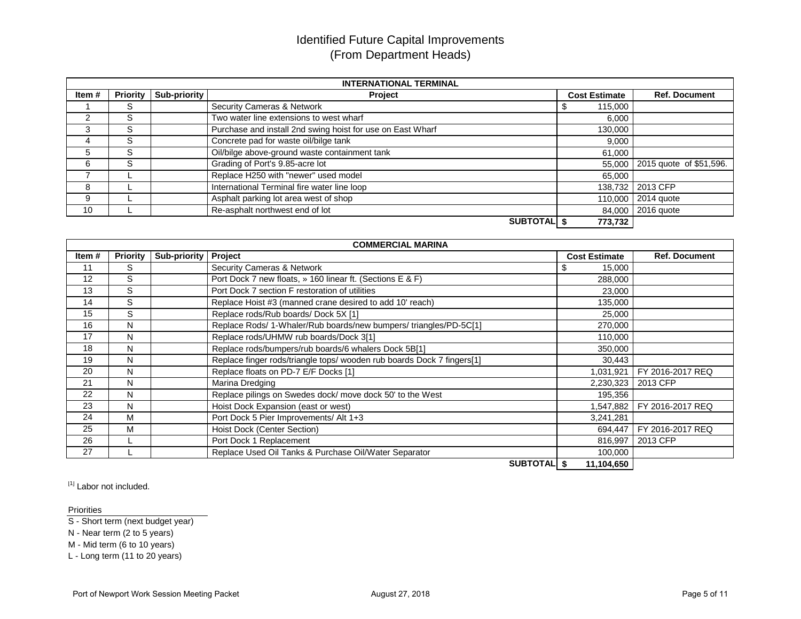# Identified Future Capital Improvements (From Department Heads)

|        |                 |              | <b>INTERNATIONAL TERMINAL</b>                              |                      |                                |
|--------|-----------------|--------------|------------------------------------------------------------|----------------------|--------------------------------|
| Item # | <b>Priority</b> | Sub-priority | Project                                                    | <b>Cost Estimate</b> | <b>Ref. Document</b>           |
|        | ົ<br>১          |              | <b>Security Cameras &amp; Network</b>                      | 115,000              |                                |
| 2      | S               |              | Two water line extensions to west wharf                    | 6,000                |                                |
| 3      | S               |              | Purchase and install 2nd swing hoist for use on East Wharf | 130,000              |                                |
|        | S               |              | Concrete pad for waste oil/bilge tank                      | 9,000                |                                |
| 5      | $\sim$<br>১     |              | Oil/bilge above-ground waste containment tank              | 61,000               |                                |
| 6      | S               |              | Grading of Port's 9.85-acre lot                            |                      | 55,000 2015 quote of \$51,596. |
|        |                 |              | Replace H250 with "newer" used model                       | 65,000               |                                |
| 8      |                 |              | International Terminal fire water line loop                |                      | 138,732 2013 CFP               |
| 9      |                 |              | Asphalt parking lot area west of shop                      |                      | 110,000 2014 quote             |
| 10     |                 |              | Re-asphalt northwest end of lot                            |                      | 84,000 2016 quote              |
|        |                 |              | <b>SUBTOTAL</b> 9                                          | 773,732              |                                |

|       |          |                        | <b>COMMERCIAL MARINA</b>                                               |                      |                      |
|-------|----------|------------------------|------------------------------------------------------------------------|----------------------|----------------------|
| Item# | Priority | Sub-priority   Project |                                                                        | <b>Cost Estimate</b> | <b>Ref. Document</b> |
| 11    | S        |                        | Security Cameras & Network                                             | 15,000               |                      |
| 12    | S        |                        | Port Dock 7 new floats, » 160 linear ft. (Sections E & F)              | 288,000              |                      |
| 13    | S        |                        | Port Dock 7 section F restoration of utilities                         | 23,000               |                      |
| 14    | S        |                        | Replace Hoist #3 (manned crane desired to add 10' reach)               | 135,000              |                      |
| 15    | S        |                        | Replace rods/Rub boards/Dock 5X [1]                                    | 25,000               |                      |
| 16    | N        |                        | Replace Rods/ 1-Whaler/Rub boards/new bumpers/ triangles/PD-5C[1]      | 270,000              |                      |
| 17    | N        |                        | Replace rods/UHMW rub boards/Dock 3[1]                                 | 110,000              |                      |
| 18    | N        |                        | Replace rods/bumpers/rub boards/6 whalers Dock 5B[1]                   | 350,000              |                      |
| 19    | N        |                        | Replace finger rods/triangle tops/ wooden rub boards Dock 7 fingers[1] | 30,443               |                      |
| 20    | N        |                        | Replace floats on PD-7 E/F Docks [1]                                   | 1,031,921            | FY 2016-2017 REQ     |
| 21    | N        |                        | Marina Dredging                                                        | 2,230,323            | 2013 CFP             |
| 22    | N        |                        | Replace pilings on Swedes dock/move dock 50' to the West               | 195,356              |                      |
| 23    | N        |                        | Hoist Dock Expansion (east or west)                                    | 1,547,882            | FY 2016-2017 REQ     |
| 24    | M        |                        | Port Dock 5 Pier Improvements/ Alt 1+3                                 | 3,241,281            |                      |
| 25    | М        |                        | Hoist Dock (Center Section)                                            | 694,447              | FY 2016-2017 REQ     |
| 26    |          |                        | Port Dock 1 Replacement                                                | 816,997              | 2013 CFP             |
| 27    |          |                        | Replace Used Oil Tanks & Purchase Oil/Water Separator                  | 100,000              |                      |
|       |          |                        | SURTOTAL &                                                             | 11 104 650           |                      |

 **SUBTOTAL \$ 11,104,650**

[1] Labor not included.

**Priorities** 

S - Short term (next budget year)

N - Near term (2 to 5 years)

M - Mid term (6 to 10 years)

L - Long term (11 to 20 years)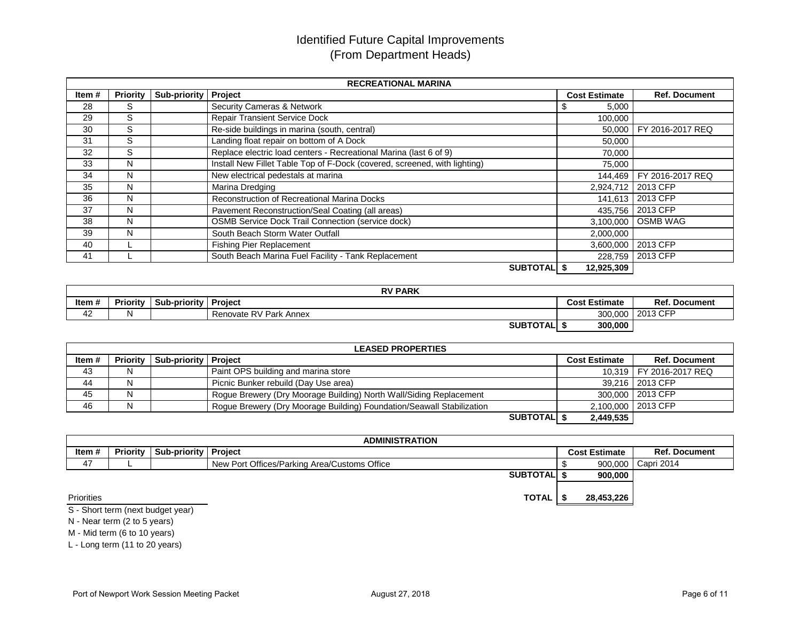# Identified Future Capital Improvements (From Department Heads)

|       |                 |                        | <b>RECREATIONAL MARINA</b>                                                |                      |                      |
|-------|-----------------|------------------------|---------------------------------------------------------------------------|----------------------|----------------------|
| Item# | <b>Priority</b> | Sub-priority   Project |                                                                           | <b>Cost Estimate</b> | <b>Ref. Document</b> |
| 28    | S               |                        | Security Cameras & Network                                                | 5,000<br>ъ           |                      |
| 29    | S               |                        | <b>Repair Transient Service Dock</b>                                      | 100,000              |                      |
| 30    | S               |                        | Re-side buildings in marina (south, central)                              | 50.000               | FY 2016-2017 REQ     |
| 31    | S               |                        | Landing float repair on bottom of A Dock                                  | 50,000               |                      |
| 32    | S               |                        | Replace electric load centers - Recreational Marina (last 6 of 9)         | 70,000               |                      |
| 33    | N               |                        | Install New Fillet Table Top of F-Dock (covered, screened, with lighting) | 75,000               |                      |
| 34    | N               |                        | New electrical pedestals at marina                                        | 144,469              | FY 2016-2017 REQ     |
| 35    | N               |                        | Marina Dredging                                                           | 2,924,712            | 2013 CFP             |
| 36    | N               |                        | Reconstruction of Recreational Marina Docks                               | 141,613              | 2013 CFP             |
| 37    | N               |                        | Pavement Reconstruction/Seal Coating (all areas)                          | 435.756              | 2013 CFP             |
| 38    | N               |                        | <b>OSMB Service Dock Trail Connection (service dock)</b>                  | 3,100,000            | <b>OSMB WAG</b>      |
| 39    | N               |                        | South Beach Storm Water Outfall                                           | 2,000,000            |                      |
| 40    |                 |                        | <b>Fishing Pier Replacement</b>                                           | 3,600,000            | 2013 CFP             |
| 41    |                 |                        | South Beach Marina Fuel Facility - Tank Replacement                       | 228.759              | 2013 CFP             |
|       |                 |                        | <b>SUBTOTALI</b> \$                                                       | 12,925,309           |                      |

|       |                 |              | <b>RV PARK</b>         |               |                         |
|-------|-----------------|--------------|------------------------|---------------|-------------------------|
| Item# | <b>Priority</b> | Sub-priority | <b>Project</b>         | Cost Estimate | Ref.<br><b>Document</b> |
| 42    |                 |              | Renovate RV Park Annex | 300,000       | 2013 CFP                |
|       |                 |              | <b>SUBTOTALI</b>       | 300,000       |                         |

|          |   |                                          | <b>LEASED PROPERTIES</b>                                              |                      |                           |
|----------|---|------------------------------------------|-----------------------------------------------------------------------|----------------------|---------------------------|
| Item $#$ |   | <b>Priority   Sub-priority   Project</b> |                                                                       | <b>Cost Estimate</b> | <b>Ref. Document</b>      |
| 43       | N |                                          | Paint OPS building and marina store                                   |                      | 10,319   FY 2016-2017 REQ |
| 44       | N |                                          | Picnic Bunker rebuild (Day Use area)                                  |                      | 39,216 2013 CFP           |
| 45       | N |                                          | Rogue Brewery (Dry Moorage Building) North Wall/Siding Replacement    |                      | 300,000 2013 CFP          |
| 46       | N |                                          | Rogue Brewery (Dry Moorage Building) Foundation/Seawall Stabilization | 2,100,000 2013 CFP   |                           |
|          |   |                                          | <b>SUBTOTALI \$</b>                                                   | 2,449,535            |                           |

|            |                                          | <b>ADMINISTRATION</b>                        |                      |                      |
|------------|------------------------------------------|----------------------------------------------|----------------------|----------------------|
| Item #     | <b>Priority   Sub-priority   Project</b> |                                              | <b>Cost Estimate</b> | <b>Ref. Document</b> |
| 47         |                                          | New Port Offices/Parking Area/Customs Office | 900.000              | Capri 2014           |
|            |                                          | <b>SUBTOTALIS</b>                            | 900,000              |                      |
|            |                                          |                                              |                      |                      |
| Priorities |                                          | <b>TOTAL</b>                                 | 28,453,226           |                      |

S - Short term (next budget year) N - Near term (2 to 5 years)

 M - Mid term (6 to 10 years)L - Long term (11 to 20 years)

Port of Newport Work Session Meeting Packet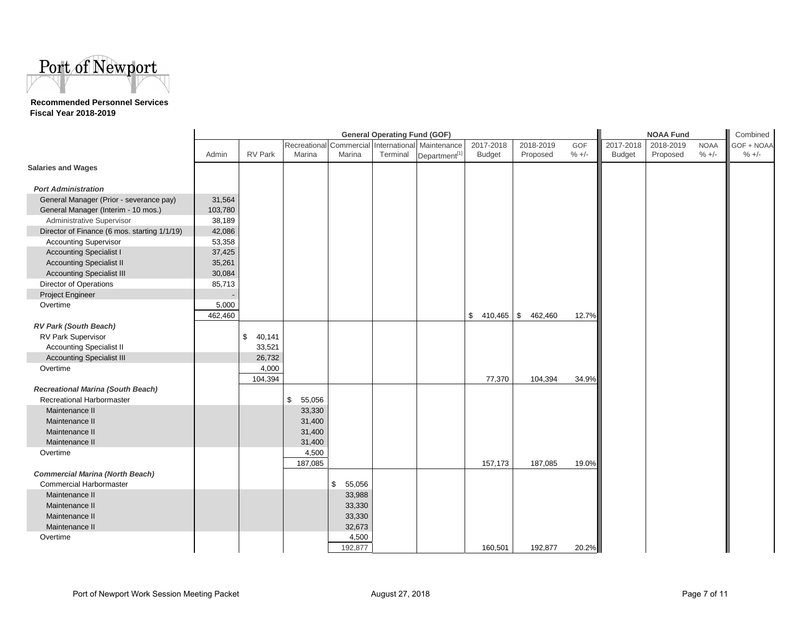

#### **Recommended Personnel Services Fiscal Year 2018-2019**

|                                              |         | <b>General Operating Fund (GOF)</b> |              |              |          |                                                   |                             |           | <b>NOAA Fund</b> | Combined      |           |             |            |
|----------------------------------------------|---------|-------------------------------------|--------------|--------------|----------|---------------------------------------------------|-----------------------------|-----------|------------------|---------------|-----------|-------------|------------|
|                                              |         |                                     |              |              |          | Recreational Commercial International Maintenance | 2017-2018                   | 2018-2019 | GOF              | 2017-2018     | 2018-2019 | <b>NOAA</b> | GOF + NOAA |
|                                              | Admin   | <b>RV Park</b>                      | Marina       | Marina       | Terminal | Department <sup>[1]</sup>                         | <b>Budget</b>               | Proposed  | $% +/-$          | <b>Budget</b> | Proposed  | $% +/-$     | $% +/-$    |
| <b>Salaries and Wages</b>                    |         |                                     |              |              |          |                                                   |                             |           |                  |               |           |             |            |
|                                              |         |                                     |              |              |          |                                                   |                             |           |                  |               |           |             |            |
| <b>Port Administration</b>                   |         |                                     |              |              |          |                                                   |                             |           |                  |               |           |             |            |
| General Manager (Prior - severance pay)      | 31,564  |                                     |              |              |          |                                                   |                             |           |                  |               |           |             |            |
| General Manager (Interim - 10 mos.)          | 103,780 |                                     |              |              |          |                                                   |                             |           |                  |               |           |             |            |
| Administrative Supervisor                    | 38,189  |                                     |              |              |          |                                                   |                             |           |                  |               |           |             |            |
| Director of Finance (6 mos. starting 1/1/19) | 42,086  |                                     |              |              |          |                                                   |                             |           |                  |               |           |             |            |
| <b>Accounting Supervisor</b>                 | 53,358  |                                     |              |              |          |                                                   |                             |           |                  |               |           |             |            |
| <b>Accounting Specialist I</b>               | 37,425  |                                     |              |              |          |                                                   |                             |           |                  |               |           |             |            |
| <b>Accounting Specialist II</b>              | 35,261  |                                     |              |              |          |                                                   |                             |           |                  |               |           |             |            |
| <b>Accounting Specialist III</b>             | 30,084  |                                     |              |              |          |                                                   |                             |           |                  |               |           |             |            |
| Director of Operations                       | 85,713  |                                     |              |              |          |                                                   |                             |           |                  |               |           |             |            |
| Project Engineer                             |         |                                     |              |              |          |                                                   |                             |           |                  |               |           |             |            |
| Overtime                                     | 5,000   |                                     |              |              |          |                                                   |                             |           |                  |               |           |             |            |
|                                              | 462,460 |                                     |              |              |          |                                                   | \$<br>410,465 $\frac{1}{3}$ | 462,460   | 12.7%            |               |           |             |            |
| RV Park (South Beach)                        |         |                                     |              |              |          |                                                   |                             |           |                  |               |           |             |            |
| RV Park Supervisor                           |         | \$<br>40,141                        |              |              |          |                                                   |                             |           |                  |               |           |             |            |
| <b>Accounting Specialist II</b>              |         | 33,521                              |              |              |          |                                                   |                             |           |                  |               |           |             |            |
| <b>Accounting Specialist III</b>             |         | 26,732                              |              |              |          |                                                   |                             |           |                  |               |           |             |            |
| Overtime                                     |         | 4,000                               |              |              |          |                                                   |                             |           |                  |               |           |             |            |
|                                              |         | 104,394                             |              |              |          |                                                   | 77,370                      | 104,394   | 34.9%            |               |           |             |            |
| <b>Recreational Marina (South Beach)</b>     |         |                                     |              |              |          |                                                   |                             |           |                  |               |           |             |            |
| Recreational Harbormaster                    |         |                                     | \$<br>55,056 |              |          |                                                   |                             |           |                  |               |           |             |            |
| Maintenance II                               |         |                                     | 33,330       |              |          |                                                   |                             |           |                  |               |           |             |            |
| Maintenance II                               |         |                                     | 31,400       |              |          |                                                   |                             |           |                  |               |           |             |            |
| Maintenance II                               |         |                                     | 31,400       |              |          |                                                   |                             |           |                  |               |           |             |            |
| Maintenance II                               |         |                                     | 31,400       |              |          |                                                   |                             |           |                  |               |           |             |            |
| Overtime                                     |         |                                     | 4,500        |              |          |                                                   |                             |           |                  |               |           |             |            |
|                                              |         |                                     | 187,085      |              |          |                                                   | 157,173                     | 187,085   | 19.0%            |               |           |             |            |
| <b>Commercial Marina (North Beach)</b>       |         |                                     |              |              |          |                                                   |                             |           |                  |               |           |             |            |
| <b>Commercial Harbormaster</b>               |         |                                     |              | \$<br>55,056 |          |                                                   |                             |           |                  |               |           |             |            |
| Maintenance II                               |         |                                     |              | 33,988       |          |                                                   |                             |           |                  |               |           |             |            |
| Maintenance II                               |         |                                     |              | 33,330       |          |                                                   |                             |           |                  |               |           |             |            |
| Maintenance II                               |         |                                     |              | 33,330       |          |                                                   |                             |           |                  |               |           |             |            |
| Maintenance II                               |         |                                     |              | 32,673       |          |                                                   |                             |           |                  |               |           |             |            |
| Overtime                                     |         |                                     |              | 4,500        |          |                                                   |                             |           |                  |               |           |             |            |
|                                              |         |                                     |              | 192,877      |          |                                                   | 160,501                     | 192,877   | 20.2%            |               |           |             |            |
|                                              |         |                                     |              |              |          |                                                   |                             |           |                  |               |           |             |            |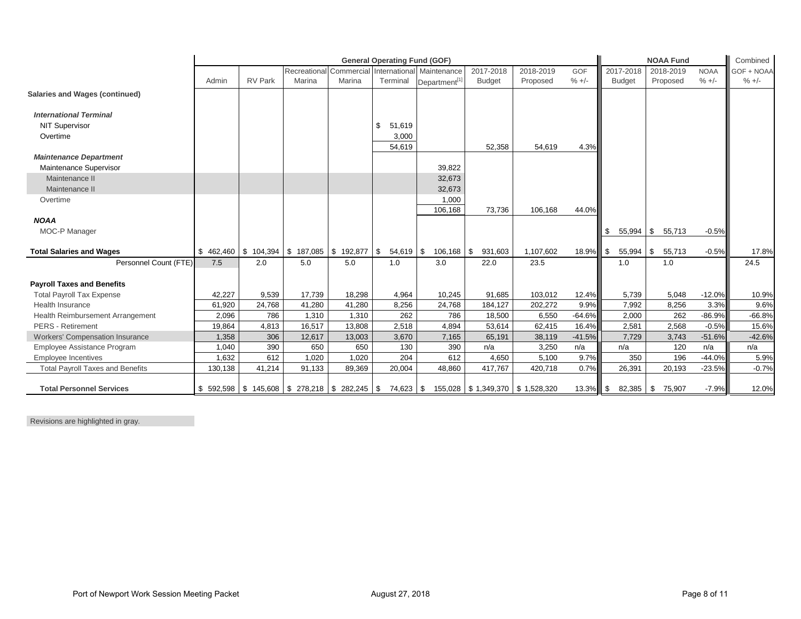|                                         |                 | <b>General Operating Fund (GOF)</b>                                      |                            |                                   |                   |                                                       |                                 |                       | <b>NOAA Fund</b>      |                            |                       | Combined               |                       |
|-----------------------------------------|-----------------|--------------------------------------------------------------------------|----------------------------|-----------------------------------|-------------------|-------------------------------------------------------|---------------------------------|-----------------------|-----------------------|----------------------------|-----------------------|------------------------|-----------------------|
|                                         | Admin           | <b>RV Park</b>                                                           | Marina                     | Recreational Commercial<br>Marina | Terminal          | International Maintenance<br>Department <sup>[1</sup> | 2017-2018<br><b>Budget</b>      | 2018-2019<br>Proposed | <b>GOF</b><br>$% +/-$ | 2017-2018<br><b>Budget</b> | 2018-2019<br>Proposed | <b>NOAA</b><br>$% +/-$ | GOF + NOAA<br>$% +/-$ |
| <b>Salaries and Wages (continued)</b>   |                 |                                                                          |                            |                                   |                   |                                                       |                                 |                       |                       |                            |                       |                        |                       |
| <b>International Terminal</b>           |                 |                                                                          |                            |                                   |                   |                                                       |                                 |                       |                       |                            |                       |                        |                       |
| <b>NIT Supervisor</b>                   |                 |                                                                          |                            |                                   | \$<br>51,619      |                                                       |                                 |                       |                       |                            |                       |                        |                       |
| Overtime                                |                 |                                                                          |                            |                                   | 3,000<br>54,619   |                                                       |                                 |                       |                       |                            |                       |                        |                       |
| <b>Maintenance Department</b>           |                 |                                                                          |                            |                                   |                   |                                                       | 52,358                          | 54,619                | 4.3%                  |                            |                       |                        |                       |
| Maintenance Supervisor                  |                 |                                                                          |                            |                                   |                   | 39,822                                                |                                 |                       |                       |                            |                       |                        |                       |
| Maintenance II                          |                 |                                                                          |                            |                                   |                   | 32,673                                                |                                 |                       |                       |                            |                       |                        |                       |
| Maintenance II                          |                 |                                                                          |                            |                                   |                   | 32,673                                                |                                 |                       |                       |                            |                       |                        |                       |
| Overtime                                |                 |                                                                          |                            |                                   |                   | 1,000                                                 |                                 |                       |                       |                            |                       |                        |                       |
|                                         |                 |                                                                          |                            |                                   |                   | 106,168                                               | 73,736                          | 106,168               | 44.0%                 |                            |                       |                        |                       |
| <b>NOAA</b>                             |                 |                                                                          |                            |                                   |                   |                                                       |                                 |                       |                       |                            |                       |                        |                       |
| MOC-P Manager                           |                 |                                                                          |                            |                                   |                   |                                                       |                                 |                       |                       | 55,994                     | 55,713<br>\$          | $-0.5%$                |                       |
| <b>Total Salaries and Wages</b>         | $$462,460$ \ \$ | 104,394                                                                  | $\frac{1}{2}$ 187,085 \ \$ | 192,877                           | \$<br>$54,619$ \$ | $106, 168$ \$                                         | 931,603                         | 1,107,602             | 18.9%                 | 55,994<br>\$               | \$<br>55,713          | $-0.5%$                | 17.8%                 |
| Personnel Count (FTE)                   | 7.5             | 2.0                                                                      | 5.0                        | 5.0                               | 1.0               | 3.0                                                   | 22.0                            | 23.5                  |                       | 1.0                        | 1.0                   |                        | 24.5                  |
| <b>Payroll Taxes and Benefits</b>       |                 |                                                                          |                            |                                   |                   |                                                       |                                 |                       |                       |                            |                       |                        |                       |
| <b>Total Payroll Tax Expense</b>        | 42.227          | 9,539                                                                    | 17,739                     | 18,298                            | 4,964             | 10,245                                                | 91,685                          | 103,012               | 12.4%                 | 5,739                      | 5.048                 | $-12.0%$               | 10.9%                 |
| <b>Health Insurance</b>                 | 61,920          | 24,768                                                                   | 41,280                     | 41.280                            | 8,256             | 24,768                                                | 184.127                         | 202.272               | 9.9%                  | 7,992                      | 8.256                 | 3.3%                   | 9.6%                  |
| Health Reimbursement Arrangement        | 2,096           | 786                                                                      | 1,310                      | 1,310                             | 262               | 786                                                   | 18,500                          | 6,550                 | $-64.6%$              | 2,000                      | 262                   | $-86.9%$               | $-66.8%$              |
| <b>PERS</b> - Retirement                | 19.864          | 4,813                                                                    | 16.517                     | 13,808                            | 2.518             | 4,894                                                 | 53.614                          | 62.415                | 16.4%                 | 2,581                      | 2.568                 | $-0.5%$                | 15.6%                 |
| <b>Workers' Compensation Insurance</b>  | 1,358           | 306                                                                      | 12,617                     | 13,003                            | 3,670             | 7,165                                                 | 65,191                          | 38,119                | $-41.5%$              | 7,729                      | 3,743                 | $-51.6%$               | $-42.6%$              |
| Employee Assistance Program             | 1,040           | 390                                                                      | 650                        | 650                               | 130               | 390                                                   | n/a                             | 3,250                 | n/a                   | n/a                        | 120                   | n/a                    | n/a                   |
| <b>Employee Incentives</b>              | 1,632           | 612                                                                      | 1,020                      | 1,020                             | 204               | 612                                                   | 4,650                           | 5,100                 | 9.7%                  | 350                        | 196                   | $-44.0%$               | 5.9%                  |
| <b>Total Payroll Taxes and Benefits</b> | 130,138         | 41,214                                                                   | 91,133                     | 89,369                            | 20,004            | 48,860                                                | 417,767                         | 420,718               | 0.7%                  | 26,391                     | 20,193                | $-23.5%$               | $-0.7%$               |
| <b>Total Personnel Services</b>         |                 | $$592,598 \mid $145,608 \mid $278,218 \mid $282,245 \mid $74,623 \mid $$ |                            |                                   |                   |                                                       | 155,028 \$1,349,370 \$1,528,320 |                       | 13.3%                 | $82,385$ \$<br>\$          | 75,907                | $-7.9%$                | 12.0%                 |

Revisions are highlighted in gray.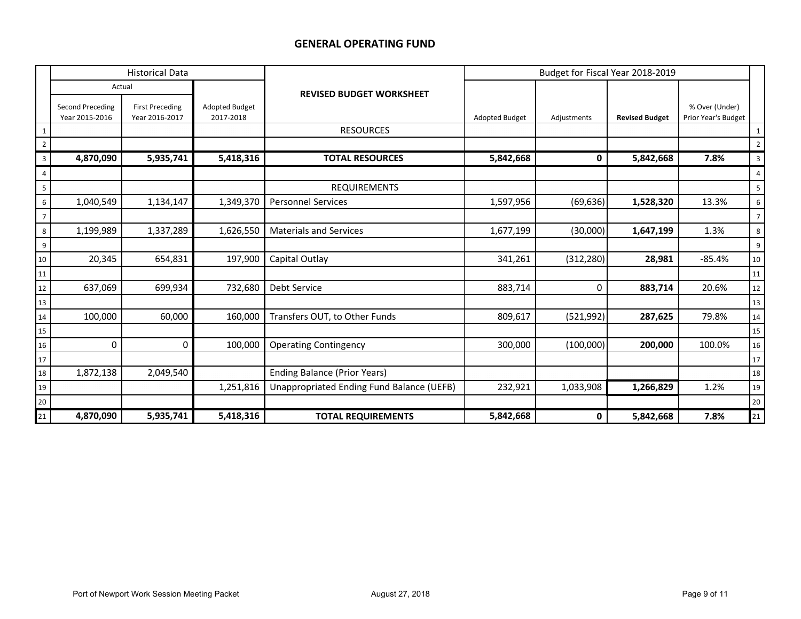## **GENERAL OPERATING FUND**

|                | <b>Historical Data</b>             |                                          |                                    |                                           |                       | Budget for Fiscal Year 2018-2019 |                       |                                       |                |  |  |
|----------------|------------------------------------|------------------------------------------|------------------------------------|-------------------------------------------|-----------------------|----------------------------------|-----------------------|---------------------------------------|----------------|--|--|
|                | Actual                             |                                          |                                    | <b>REVISED BUDGET WORKSHEET</b>           |                       |                                  |                       |                                       |                |  |  |
|                | Second Preceding<br>Year 2015-2016 | <b>First Preceding</b><br>Year 2016-2017 | <b>Adopted Budget</b><br>2017-2018 |                                           | <b>Adopted Budget</b> | Adjustments                      | <b>Revised Budget</b> | % Over (Under)<br>Prior Year's Budget |                |  |  |
| 1              |                                    |                                          |                                    | <b>RESOURCES</b>                          |                       |                                  |                       |                                       | $\mathbf{1}$   |  |  |
| $\overline{2}$ |                                    |                                          |                                    |                                           |                       |                                  |                       |                                       | $\overline{2}$ |  |  |
| 3              | 4,870,090                          | 5,935,741                                | 5,418,316                          | <b>TOTAL RESOURCES</b>                    | 5,842,668             | 0                                | 5,842,668             | 7.8%                                  | 3              |  |  |
| 4              |                                    |                                          |                                    |                                           |                       |                                  |                       |                                       | $\overline{4}$ |  |  |
| 5              |                                    |                                          |                                    | <b>REQUIREMENTS</b>                       |                       |                                  |                       |                                       | 5              |  |  |
| $6\phantom{.}$ | 1,040,549                          | 1,134,147                                | 1,349,370                          | <b>Personnel Services</b>                 | 1,597,956             | (69, 636)                        | 1,528,320             | 13.3%                                 | 6              |  |  |
| $\overline{7}$ |                                    |                                          |                                    |                                           |                       |                                  |                       |                                       | $\overline{7}$ |  |  |
| 8              | 1,199,989                          | 1,337,289                                | 1,626,550                          | <b>Materials and Services</b>             | 1,677,199             | (30,000)                         | 1,647,199             | 1.3%                                  | 8              |  |  |
| 9              |                                    |                                          |                                    |                                           |                       |                                  |                       |                                       | 9              |  |  |
| 10             | 20,345                             | 654,831                                  | 197,900                            | Capital Outlay                            | 341,261               | (312, 280)                       | 28,981                | $-85.4%$                              | 10             |  |  |
| 11             |                                    |                                          |                                    |                                           |                       |                                  |                       |                                       | 11             |  |  |
| 12             | 637,069                            | 699,934                                  | 732,680                            | <b>Debt Service</b>                       | 883,714               | 0                                | 883,714               | 20.6%                                 | 12             |  |  |
| 13             |                                    |                                          |                                    |                                           |                       |                                  |                       |                                       | 13             |  |  |
| 14             | 100,000                            | 60,000                                   | 160,000                            | Transfers OUT, to Other Funds             | 809,617               | (521,992)                        | 287,625               | 79.8%                                 | 14             |  |  |
| 15             |                                    |                                          |                                    |                                           |                       |                                  |                       |                                       | 15             |  |  |
| 16             | 0                                  | 0                                        | 100,000                            | <b>Operating Contingency</b>              | 300,000               | (100,000)                        | 200,000               | 100.0%                                | 16             |  |  |
| 17             |                                    |                                          |                                    |                                           |                       |                                  |                       |                                       | 17             |  |  |
| 18             | 1,872,138                          | 2,049,540                                |                                    | <b>Ending Balance (Prior Years)</b>       |                       |                                  |                       |                                       | $18\,$         |  |  |
| 19             |                                    |                                          | 1,251,816                          | Unappropriated Ending Fund Balance (UEFB) | 232,921               | 1,033,908                        | 1,266,829             | 1.2%                                  | $19\,$         |  |  |
| $20\,$         |                                    |                                          |                                    |                                           |                       |                                  |                       |                                       | $20\,$         |  |  |
| $21$           | 4,870,090                          | 5,935,741                                | 5,418,316                          | <b>TOTAL REQUIREMENTS</b>                 | 5,842,668             | 0                                | 5,842,668             | 7.8%                                  | 21             |  |  |